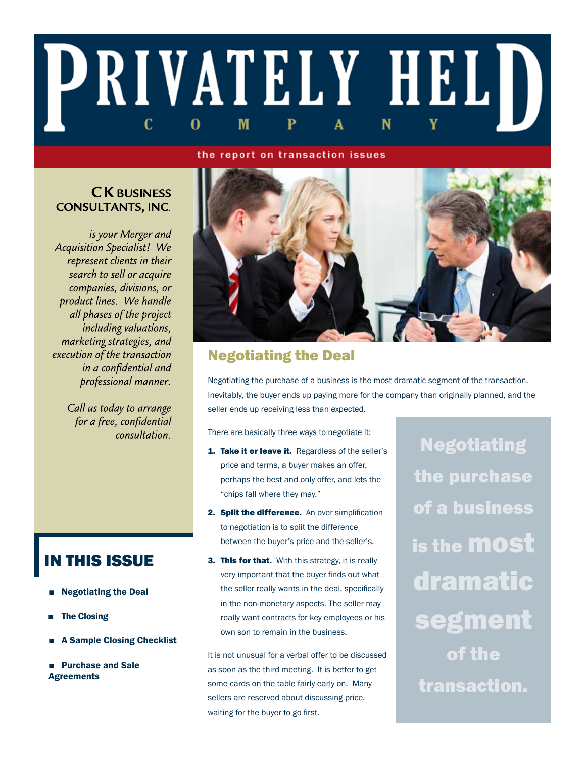# PRIVATELY HELD C M 0

### the report on transaction issues

### **CK BUSINESS CONSULTANTS, INC.**

is your Merger and **Acquisition Specialist!** We represent clients in their search to sell or acquire companies, divisions, or product lines. We handle all phases of the project including valuations, marketing strategies, and execution of the transaction in a confidential and professional manner.

> Call us today to arrange for a free, confidential consultation.

# IN THIS ISSUE

- **Negotiating the Deal**
- **The Closing**
- **A Sample Closing Checklist**
- **Purchase and Sale Agreements**



## Negotiating the Deal

Negotiating the purchase of a business is the most dramatic segment of the transaction. Inevitably, the buyer ends up paying more for the company than originally planned, and the seller ends up receiving less than expected.

There are basically three ways to negotiate it:

- 1. Take it or leave it. Regardless of the seller's price and terms, a buyer makes an offer, perhaps the best and only offer, and lets the "chips fall where they may."
- 2. Split the difference. An over simplification to negotiation is to split the difference between the buyer's price and the seller's.
- **3. This for that.** With this strategy, it is really very important that the buyer finds out what the seller really wants in the deal, specifically in the non-monetary aspects. The seller may really want contracts for key employees or his own son to remain in the business.

It is not unusual for a verbal offer to be discussed as soon as the third meeting. It is better to get some cards on the table fairly early on. Many sellers are reserved about discussing price, waiting for the buyer to go first.

**Negotiating** the purchase of a business is the most dramatic segment of the transaction.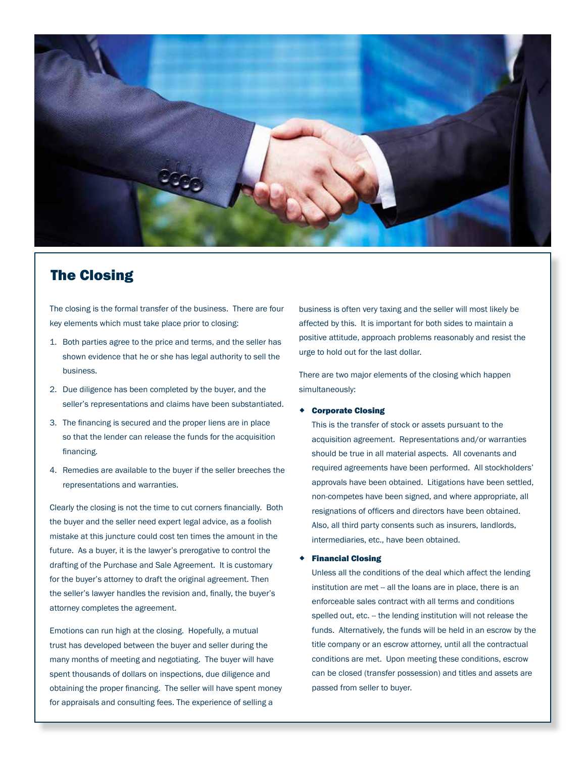

### The Closing

The closing is the formal transfer of the business. There are four key elements which must take place prior to closing:

- 1. Both parties agree to the price and terms, and the seller has shown evidence that he or she has legal authority to sell the business.
- 2. Due diligence has been completed by the buyer, and the seller's representations and claims have been substantiated.
- 3. The financing is secured and the proper liens are in place so that the lender can release the funds for the acquisition financing.
- 4. Remedies are available to the buyer if the seller breeches the representations and warranties.

Clearly the closing is not the time to cut corners financially. Both the buyer and the seller need expert legal advice, as a foolish mistake at this juncture could cost ten times the amount in the future. As a buyer, it is the lawyer's prerogative to control the drafting of the Purchase and Sale Agreement. It is customary for the buyer's attorney to draft the original agreement. Then the seller's lawyer handles the revision and, finally, the buyer's attorney completes the agreement.

Emotions can run high at the closing. Hopefully, a mutual trust has developed between the buyer and seller during the many months of meeting and negotiating. The buyer will have spent thousands of dollars on inspections, due diligence and obtaining the proper financing. The seller will have spent money for appraisals and consulting fees. The experience of selling a

business is often very taxing and the seller will most likely be affected by this. It is important for both sides to maintain a positive attitude, approach problems reasonably and resist the urge to hold out for the last dollar.

There are two major elements of the closing which happen simultaneously:

### Corporate Closing

This is the transfer of stock or assets pursuant to the acquisition agreement. Representations and/or warranties should be true in all material aspects. All covenants and required agreements have been performed. All stockholders' approvals have been obtained. Litigations have been settled, non-competes have been signed, and where appropriate, all resignations of officers and directors have been obtained. Also, all third party consents such as insurers, landlords, intermediaries, etc., have been obtained.

### Financial Closing

Unless all the conditions of the deal which affect the lending institution are met -- all the loans are in place, there is an enforceable sales contract with all terms and conditions spelled out, etc. -- the lending institution will not release the funds. Alternatively, the funds will be held in an escrow by the title company or an escrow attorney, until all the contractual conditions are met. Upon meeting these conditions, escrow can be closed (transfer possession) and titles and assets are passed from seller to buyer.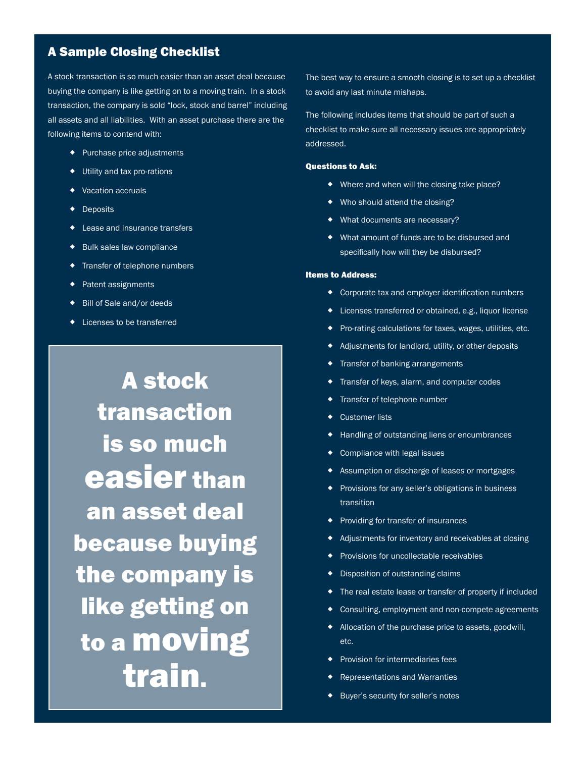### A Sample Closing Checklist

A stock transaction is so much easier than an asset deal because buying the company is like getting on to a moving train. In a stock transaction, the company is sold "lock, stock and barrel" including all assets and all liabilities. With an asset purchase there are the following items to contend with:

- Purchase price adjustments
- Utility and tax pro-rations
- ◆ Vacation accruals
- ◆ Deposits
- ◆ Lease and insurance transfers
- ◆ Bulk sales law compliance
- **Transfer of telephone numbers**
- ◆ Patent assignments
- ◆ Bill of Sale and/or deeds
- Licenses to be transferred

A stock transaction is so much easier than an asset deal because buying the company is like getting on to a moving train.

The best way to ensure a smooth closing is to set up a checklist to avoid any last minute mishaps.

The following includes items that should be part of such a checklist to make sure all necessary issues are appropriately addressed.

#### Questions to Ask:

- ◆ Where and when will the closing take place?
- ◆ Who should attend the closing?
- ◆ What documents are necessary?
- What amount of funds are to be disbursed and specifically how will they be disbursed?

#### Items to Address:

- Corporate tax and employer identification numbers
- Licenses transferred or obtained, e.g., liquor license
- Pro-rating calculations for taxes, wages, utilities, etc.
- Adjustments for landlord, utility, or other deposits
- **Transfer of banking arrangements**
- **Transfer of keys, alarm, and computer codes**
- **Transfer of telephone number**
- ◆ Customer lists
- Handling of outstanding liens or encumbrances
- ◆ Compliance with legal issues
- **A** Assumption or discharge of leases or mortgages
- ◆ Provisions for any seller's obligations in business<br>transition transition
	- ◆ Providing for transfer of insurances<br>▲ Adjustments for inventory and reseivables at als
	- Adjustments for inventory and receivables at closing
	- **•** Provisions for uncollectable receivables
	- **•** Disposition of outstanding claims
	- The real estate lease or transfer of property if included
	- Consulting, employment and non-compete agreements
	- ◆ Allocation of the purchase price to assets, goodwill, etc.
	- ◆ Provision for intermediaries fees
	- Representations and Warranties
	- Buyer's security for seller's notes